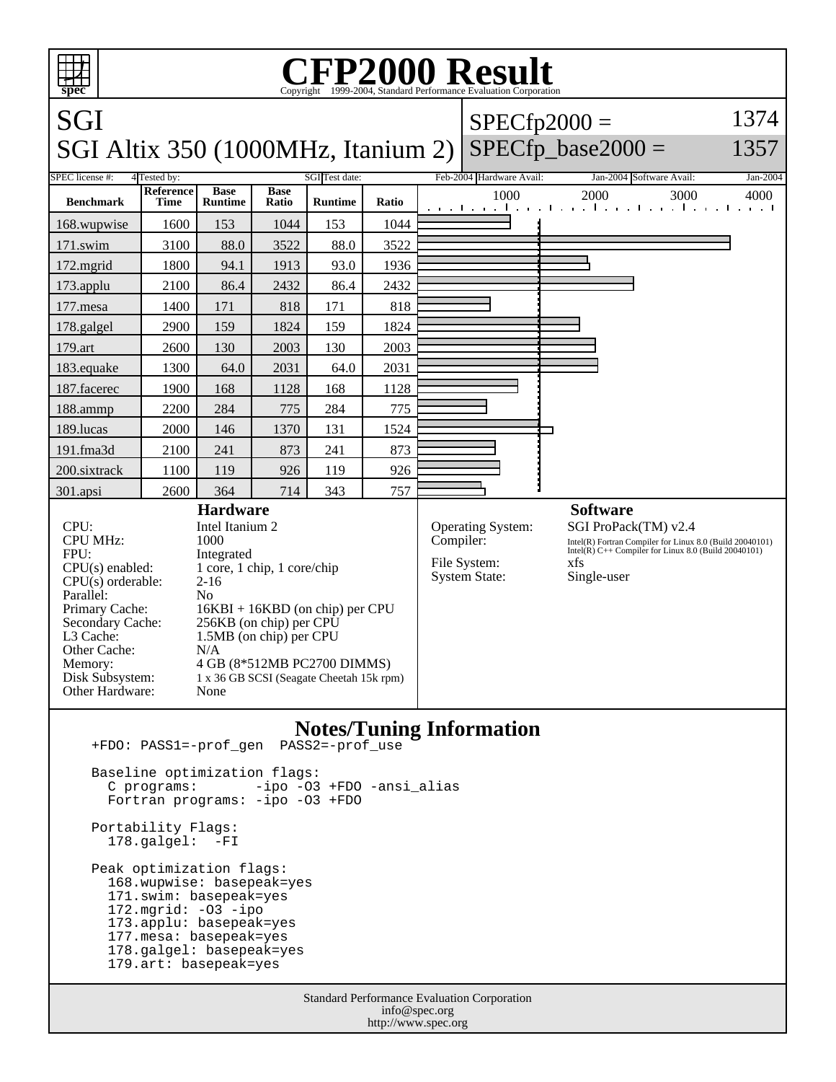

 Baseline optimization flags: C programs: -ipo -O3 +FDO -ansi\_alias Fortran programs: -ipo -O3 +FDO

 Portability Flags: 178.galgel: -FI

 Peak optimization flags: 168.wupwise: basepeak=yes 171.swim: basepeak=yes 172.mgrid: -O3 -ipo 173.applu: basepeak=yes 177.mesa: basepeak=yes 178.galgel: basepeak=yes 179.art: basepeak=yes

> Standard Performance Evaluation Corporation info@spec.org http://www.spec.org